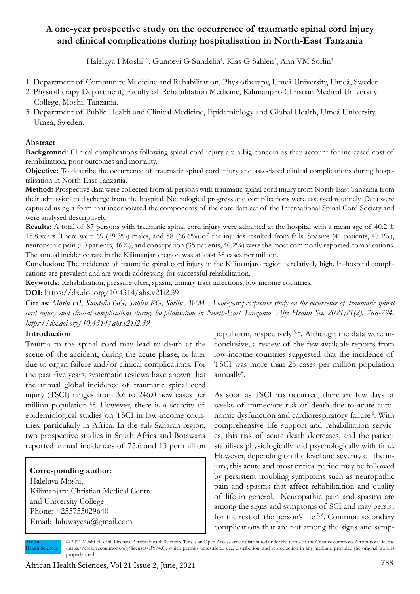# **A one-year prospective study on the occurrence of traumatic spinal cord injury and clinical complications during hospitalisation in North-East Tanzania**

Haleluya I Moshi<sup>1,2</sup>, Gunnevi G Sundelin<sup>1</sup>, Klas G Sahlen<sup>3</sup>, Ann VM Sörlin<sup>1</sup>

- 1. Department of Community Medicine and Rehabilitation, Physiotherapy, Umeå University, Umeå, Sweden.
- 2. Physiotherapy Department, Faculty of Rehabilitation Medicine, Kilimanjaro Christian Medical University College, Moshi, Tanzania.
- 3. Department of Public Health and Clinical Medicine, Epidemiology and Global Health, Umeå University, Umeå, Sweden.

# **Abstract**

**Background:** Clinical complications following spinal cord injury are a big concern as they account for increased cost of rehabilitation, poor outcomes and mortality.

**Objective:** To describe the occurrence of traumatic spinal cord injury and associated clinical complications during hospitalisation in North-East Tanzania.

**Method:** Prospective data were collected from all persons with traumatic spinal cord injury from North-East Tanzania from their admission to discharge from the hospital. Neurological progress and complications were assessed routinely. Data were captured using a form that incorporated the components of the core data set of the International Spinal Cord Society and were analysed descriptively.

**Results:** A total of 87 persons with traumatic spinal cord injury were admitted at the hospital with a mean age of 40.2  $\pm$ 15.8 years. There were 69 (79.3%) males, and 58 (66.6%) of the injuries resulted from falls. Spasms (41 patients, 47.1%), neuropathic pain (40 patients, 46%), and constipation (35 patients, 40.2%) were the most commonly reported complications. The annual incidence rate in the Kilimanjaro region was at least 38 cases per million.

**Conclusion:** The incidence of traumatic spinal cord injury in the Kilimanjaro region is relatively high. In-hospital complications are prevalent and are worth addressing for successful rehabilitation.

**Keywords:** Rehabilitation, pressure ulcer, spasm, urinary tract infections, low income countries.

**DOI:** https://dx.doi.org/10.4314/ahs.v21i2.39

**Cite as:** *Moshi HI, Sundelin GG, Sahlen KG, Sörlin AVM. A one-year prospective study on the occurrence of traumatic spinal cord injury and clinical complications during hospitalisation in North-East Tanzania. Afri Health Sci. 2021;21(2). 788-794. https://dx.doi.org/10.4314/ahs.v21i2.39*

# **Introduction**

Trauma to the spinal cord may lead to death at the scene of the accident, during the acute phase, or later due to organ failure and/or clinical complications. For the past five years, systematic reviews have shown that the annual global incidence of traumatic spinal cord injury (TSCI) ranges from 3.6 to 246.0 new cases per million population <sup>1,2</sup>. However, there is a scarcity of epidemiological studies on TSCI in low-income countries, particularly in Africa. In the sub-Saharan region, two prospective studies in South Africa and Botswana reported annual incidences of 75.6 and 13 per million

# **Corresponding author:**

Haleluya Moshi, Kilimanjaro Christian Medical Centre and University College Phone: +255755029640 Email: luluwayesu@gmail.com

population, respectively  $3, 4$ . Although the data were inconclusive, a review of the few available reports from low-income countries suggested that the incidence of TSCI was more than 25 cases per million population annually<sup>5</sup>.

As soon as TSCI has occurred, there are few days or weeks of immediate risk of death due to acute autonomic dysfunction and cardiorespiratory failure<sup>6</sup>. With comprehensive life support and rehabilitation services, this risk of acute death decreases, and the patient stabilises physiologically and psychologically with time. However, depending on the level and severity of the injury, this acute and most critical period may be followed by persistent troubling symptoms such as neuropathic pain and spasms that affect rehabilitation and quality of life in general. Neuropathic pain and spasms are among the signs and symptoms of SCI and may persist for the rest of the person's life<sup>7,8</sup>. Common secondary complications that are not among the signs and symp-

© 2021 Moshi HI et al. Licensee African Health Sciences. This is an Open Access article distributed under the terms of the Creative commons Attribution License (https://creativecommons.org/licenses/BY/4.0), which permits unrestricted use, distribution, and reproduction in any medium, provided the original work is properly cited. African **Iealth Sciences**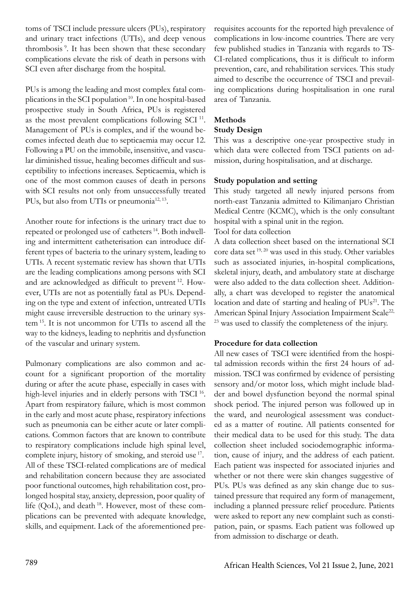toms of TSCI include pressure ulcers (PUs), respiratory and urinary tract infections (UTIs), and deep venous thrombosis 9. It has been shown that these secondary complications elevate the risk of death in persons with SCI even after discharge from the hospital.

PUs is among the leading and most complex fatal complications in the SCI population 10. In one hospital-based prospective study in South Africa, PUs is registered as the most prevalent complications following SCI 11. Management of PUs is complex, and if the wound becomes infected death due to septicaemia may occur 12. Following a PU on the immobile, insensitive, and vascular diminished tissue, healing becomes difficult and susceptibility to infections increases. Septicaemia, which is one of the most common causes of death in persons with SCI results not only from unsuccessfully treated PUs, but also from UTIs or pneumonia<sup>12, 13</sup>.

Another route for infections is the urinary tract due to repeated or prolonged use of catheters 14. Both indwelling and intermittent catheterisation can introduce different types of bacteria to the urinary system, leading to UTIs. A recent systematic review has shown that UTIs are the leading complications among persons with SCI and are acknowledged as difficult to prevent 12. However, UTIs are not as potentially fatal as PUs. Depending on the type and extent of infection, untreated UTIs might cause irreversible destruction to the urinary system 15. It is not uncommon for UTIs to ascend all the way to the kidneys, leading to nephritis and dysfunction of the vascular and urinary system.

Pulmonary complications are also common and account for a significant proportion of the mortality during or after the acute phase, especially in cases with high-level injuries and in elderly persons with TSCI<sup>16</sup>. Apart from respiratory failure, which is most common in the early and most acute phase, respiratory infections such as pneumonia can be either acute or later complications. Common factors that are known to contribute to respiratory complications include high spinal level, complete injury, history of smoking, and steroid use 17. All of these TSCI-related complications are of medical and rehabilitation concern because they are associated poor functional outcomes, high rehabilitation cost, prolonged hospital stay, anxiety, depression, poor quality of life (QoL), and death 18. However, most of these complications can be prevented with adequate knowledge, skills, and equipment. Lack of the aforementioned prerequisites accounts for the reported high prevalence of complications in low-income countries. There are very few published studies in Tanzania with regards to TS-CI-related complications, thus it is difficult to inform prevention, care, and rehabilitation services. This study aimed to describe the occurrence of TSCI and prevailing complications during hospitalisation in one rural area of Tanzania.

# **Methods**

### **Study Design**

This was a descriptive one-year prospective study in which data were collected from TSCI patients on admission, during hospitalisation, and at discharge.

### **Study population and setting**

This study targeted all newly injured persons from north-east Tanzania admitted to Kilimanjaro Christian Medical Centre (KCMC), which is the only consultant hospital with a spinal unit in the region.

### Tool for data collection

A data collection sheet based on the international SCI core data set <sup>19, 20</sup> was used in this study. Other variables such as associated injuries, in-hospital complications, skeletal injury, death, and ambulatory state at discharge were also added to the data collection sheet. Additionally, a chart was developed to register the anatomical location and date of starting and healing of  $PUs^{21}$ . The American Spinal Injury Association Impairment Scale<sup>22,</sup> <sup>23</sup> was used to classify the completeness of the injury.

# **Procedure for data collection**

All new cases of TSCI were identified from the hospital admission records within the first 24 hours of admission. TSCI was confirmed by evidence of persisting sensory and/or motor loss, which might include bladder and bowel dysfunction beyond the normal spinal shock period. The injured person was followed up in the ward, and neurological assessment was conducted as a matter of routine. All patients consented for their medical data to be used for this study. The data collection sheet included sociodemographic information, cause of injury, and the address of each patient. Each patient was inspected for associated injuries and whether or not there were skin changes suggestive of PUs. PUs was defined as any skin change due to sustained pressure that required any form of management, including a planned pressure relief procedure. Patients were asked to report any new complaint such as constipation, pain, or spasms. Each patient was followed up from admission to discharge or death.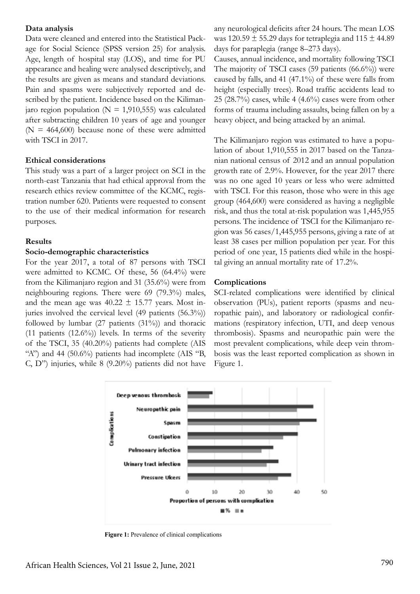#### **Data analysis**

Data were cleaned and entered into the Statistical Package for Social Science (SPSS version 25) for analysis. Age, length of hospital stay (LOS), and time for PU appearance and healing were analysed descriptively, and the results are given as means and standard deviations. Pain and spasms were subjectively reported and described by the patient. Incidence based on the Kilimanjaro region population ( $N = 1,910,555$ ) was calculated after subtracting children 10 years of age and younger  $(N = 464,600)$  because none of these were admitted with TSCI in 2017.

#### **Ethical considerations**

This study was a part of a larger project on SCI in the north-east Tanzania that had ethical approval from the research ethics review committee of the KCMC, registration number 620. Patients were requested to consent to the use of their medical information for research purposes.

#### **Results**

#### **Socio-demographic characteristics**

For the year 2017, a total of 87 persons with TSCI were admitted to KCMC. Of these, 56 (64.4%) were from the Kilimanjaro region and 31 (35.6%) were from neighbouring regions. There were 69 (79.3%) males, and the mean age was  $40.22 \pm 15.77$  years. Most injuries involved the cervical level (49 patients (56.3%)) followed by lumbar (27 patients (31%)) and thoracic (11 patients  $(12.6\%)$ ) levels. In terms of the severity of the TSCI, 35 (40.20%) patients had complete (AIS "A") and 44 (50.6%) patients had incomplete (AIS "B, C, D") injuries, while 8 (9.20%) patients did not have any neurological deficits after 24 hours. The mean LOS was  $120.59 \pm 55.29$  days for tetraplegia and  $115 \pm 44.89$ days for paraplegia (range 8–273 days).

Causes, annual incidence, and mortality following TSCI The majority of TSCI cases  $(59 \text{ patients } (66.6\%))$  were caused by falls, and 41 (47.1%) of these were falls from height (especially trees). Road traffic accidents lead to 25 (28.7%) cases, while 4 (4.6%) cases were from other forms of trauma including assaults, being fallen on by a heavy object, and being attacked by an animal.

The Kilimanjaro region was estimated to have a population of about 1,910,555 in 2017 based on the Tanzanian national census of 2012 and an annual population growth rate of 2.9%. However, for the year 2017 there was no one aged 10 years or less who were admitted with TSCI. For this reason, those who were in this age group (464,600) were considered as having a negligible risk, and thus the total at-risk population was 1,445,955 persons. The incidence of TSCI for the Kilimanjaro region was 56 cases/1,445,955 persons, giving a rate of at least 38 cases per million population per year. For this period of one year, 15 patients died while in the hospital giving an annual mortality rate of 17.2%.

#### **Complications**

SCI-related complications were identified by clinical observation (PUs), patient reports (spasms and neuropathic pain), and laboratory or radiological confirmations (respiratory infection, UTI, and deep venous thrombosis). Spasms and neuropathic pain were the most prevalent complications, while deep vein thrombosis was the least reported complication as shown in Figure 1.



**Figure 1:** Prevalence of clinical complications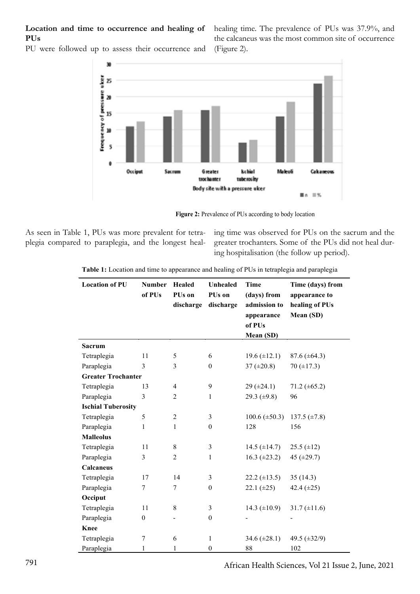### **Location and time to occurrence and healing of PUs**

PU were followed up to assess their occurrence and

healing time. The prevalence of PUs was 37.9%, and the calcaneus was the most common site of occurrence (Figure 2).



**Figure 2:** Prevalence of PUs according to body location

As seen in Table 1, PUs was more prevalent for tetraplegia compared to paraplegia, and the longest healing time was observed for PUs on the sacrum and the greater trochanters. Some of the PUs did not heal during hospitalisation (the follow up period).

| <b>Location of PU</b>     | <b>Number</b><br>of PUs | Healed<br>PUs on<br>discharge | <b>Unhealed</b><br>PUs on<br>discharge | <b>Time</b><br>(days) from<br>admission to<br>appearance<br>of PUs<br>Mean (SD) | Time (days) from<br>appearance to<br>healing of PUs<br>Mean (SD) |
|---------------------------|-------------------------|-------------------------------|----------------------------------------|---------------------------------------------------------------------------------|------------------------------------------------------------------|
| <b>Sacrum</b>             |                         |                               |                                        |                                                                                 |                                                                  |
| Tetraplegia               | 11                      | 5                             | 6                                      | $19.6 \ (\pm 12.1)$                                                             | $87.6 (\pm 64.3)$                                                |
| Paraplegia                | 3                       | 3                             | $\boldsymbol{0}$                       | $37 (\pm 20.8)$                                                                 | $70 (\pm 17.3)$                                                  |
| <b>Greater Trochanter</b> |                         |                               |                                        |                                                                                 |                                                                  |
| Tetraplegia               | 13                      | $\overline{4}$                | 9                                      | $29 \ (\pm 24.1)$                                                               | $71.2 (\pm 65.2)$                                                |
| Paraplegia                | 3                       | $\overline{c}$                | $\mathbf{1}$                           | 29.3 $(\pm 9.8)$                                                                | 96                                                               |
| <b>Ischial Tuberosity</b> |                         |                               |                                        |                                                                                 |                                                                  |
| Tetraplegia               | 5                       | $\overline{2}$                | $\mathfrak{Z}$                         | $100.6 (\pm 50.3)$                                                              | 137.5 $(\pm 7.8)$                                                |
| Paraplegia                | 1                       | $\mathbf{1}$                  | $\mathbf{0}$                           | 128                                                                             | 156                                                              |
| <b>Malleolus</b>          |                         |                               |                                        |                                                                                 |                                                                  |
| Tetraplegia               | 11                      | 8                             | 3                                      | 14.5 $(\pm 14.7)$                                                               | $25.5 (\pm 12)$                                                  |
| Paraplegia                | 3                       | $\overline{2}$                | $\mathbf{1}$                           | $16.3 \ (\pm 23.2)$                                                             | 45 $(\pm 29.7)$                                                  |
| Calcaneus                 |                         |                               |                                        |                                                                                 |                                                                  |
| Tetraplegia               | 17                      | 14                            | 3                                      | $22.2 \ (\pm 13.5)$                                                             | 35(14.3)                                                         |
| Paraplegia                | 7                       | $\tau$                        | $\boldsymbol{0}$                       | 22.1 $(\pm 25)$                                                                 | 42.4 $(\pm 25)$                                                  |
| Occiput                   |                         |                               |                                        |                                                                                 |                                                                  |
| Tetraplegia               | 11                      | 8                             | $\mathfrak{Z}$                         | 14.3 $(\pm 10.9)$                                                               | $31.7 (\pm 11.6)$                                                |
| Paraplegia                | $\mathbf{0}$            | -                             | $\boldsymbol{0}$                       |                                                                                 |                                                                  |
| <b>Knee</b>               |                         |                               |                                        |                                                                                 |                                                                  |
| Tetraplegia               | 7                       | 6                             | $\mathbf{1}$                           | 34.6 $(\pm 28.1)$                                                               | 49.5 $(\pm 32/9)$                                                |
| Paraplegia                | 1                       | $\mathbf{1}$                  | $\boldsymbol{0}$                       | 88                                                                              | 102                                                              |

**Table 1:** Location and time to appearance and healing of PUs in tetraplegia and paraplegia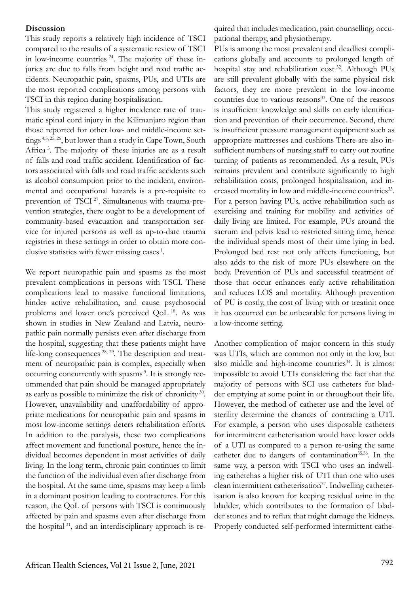#### **Discussion**

This study reports a relatively high incidence of TSCI compared to the results of a systematic review of TSCI in low-income countries 24. The majority of these injuries are due to falls from height and road traffic accidents. Neuropathic pain, spasms, PUs, and UTIs are the most reported complications among persons with TSCI in this region during hospitalisation.

This study registered a higher incidence rate of traumatic spinal cord injury in the Kilimanjaro region than those reported for other low- and middle-income settings 4,5, 25, 26, but lower than a study in Cape Town, South Africa 3. The majority of these injuries are as a result of falls and road traffic accident. Identification of factors associated with falls and road traffic accidents such as alcohol consumption prior to the incident, environmental and occupational hazards is a pre-requisite to prevention of TSCI<sup>27</sup>. Simultaneous with trauma-prevention strategies, there ought to be a development of community-based evacuation and transportation service for injured persons as well as up-to-date trauma registries in these settings in order to obtain more conclusive statistics with fewer missing cases 1.

We report neuropathic pain and spasms as the most prevalent complications in persons with TSCI. These complications lead to massive functional limitations, hinder active rehabilitation, and cause psychosocial problems and lower one's perceived QoL 18. As was shown in studies in New Zealand and Latvia, neuropathic pain normally persists even after discharge from the hospital, suggesting that these patients might have life-long consequences <sup>28, 29</sup>. The description and treatment of neuropathic pain is complex, especially when occurring concurrently with spasms<sup>9</sup>. It is strongly recommended that pain should be managed appropriately as early as possible to minimize the risk of chronicity 30. However, unavailability and unaffordability of appropriate medications for neuropathic pain and spasms in most low-income settings deters rehabilitation efforts. In addition to the paralysis, these two complications affect movement and functional posture, hence the individual becomes dependent in most activities of daily living. In the long term, chronic pain continues to limit the function of the individual even after discharge from the hospital. At the same time, spasms may keep a limb in a dominant position leading to contractures. For this reason, the QoL of persons with TSCI is continuously affected by pain and spasms even after discharge from the hospital<sup>31</sup>, and an interdisciplinary approach is required that includes medication, pain counselling, occupational therapy, and physiotherapy.

PUs is among the most prevalent and deadliest complications globally and accounts to prolonged length of hospital stay and rehabilitation cost<sup>32</sup>. Although PUs are still prevalent globally with the same physical risk factors, they are more prevalent in the low-income countries due to various reasons<sup>33</sup>. One of the reasons is insufficient knowledge and skills on early identification and prevention of their occurrence. Second, there is insufficient pressure management equipment such as appropriate mattresses and cushions There are also insufficient numbers of nursing staff to carry out routine turning of patients as recommended. As a result, PUs remains prevalent and contribute significantly to high rehabilitation costs, prolonged hospitalisation, and increased mortality in low and middle-income countries<sup>33</sup>. For a person having PUs, active rehabilitation such as exercising and training for mobility and activities of daily living are limited. For example, PUs around the sacrum and pelvis lead to restricted sitting time, hence the individual spends most of their time lying in bed. Prolonged bed rest not only affects functioning, but also adds to the risk of more PUs elsewhere on the body. Prevention of PUs and successful treatment of those that occur enhances early active rehabilitation and reduces LOS and mortality. Although prevention of PU is costly, the cost of living with or treatinit once it has occurred can be unbearable for persons living in a low-income setting.

Another complication of major concern in this study was UTIs, which are common not only in the low, but also middle and high-income countries<sup>34</sup>. It is almost impossible to avoid UTIs considering the fact that the majority of persons with SCI use catheters for bladder emptying at some point in or throughout their life. However, the method of catheter use and the level of sterility determine the chances of contracting a UTI. For example, a person who uses disposable catheters for intermittent catheterisation would have lower odds of a UTI as compared to a person re-using the same catheter due to dangers of contamination<sup>35,36</sup>. In the same way, a person with TSCI who uses an indwelling cathetehas a higher risk of UTI than one who uses clean intermittent catheterisation<sup>37</sup>. Indwelling catheterisation is also known for keeping residual urine in the bladder, which contributes to the formation of bladder stones and to reflux that might damage the kidneys. Properly conducted self-performed intermittent cathe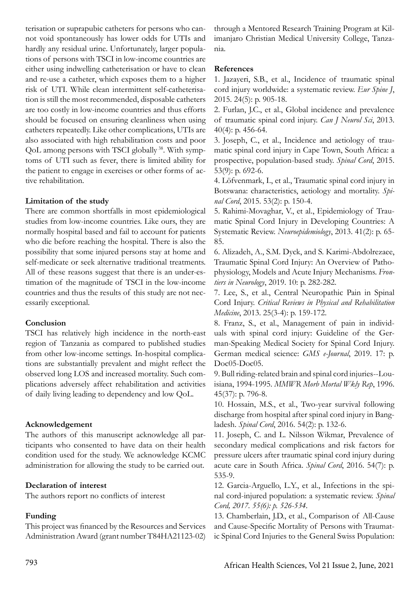terisation or suprapubic catheters for persons who cannot void spontaneously has lower odds for UTIs and hardly any residual urine. Unfortunately, larger populations of persons with TSCI in low-income countries are either using indwelling catheterisation or have to clean and re-use a catheter, which exposes them to a higher risk of UTI. While clean intermittent self-catheterisation is still the most recommended, disposable catheters are too costly in low-income countries and thus efforts should be focused on ensuring cleanliness when using catheters repeatedly. Like other complications, UTIs are also associated with high rehabilitation costs and poor QoL among persons with TSCI globally 38. With symptoms of UTI such as fever, there is limited ability for the patient to engage in exercises or other forms of active rehabilitation.

### **Limitation of the study**

There are common shortfalls in most epidemiological studies from low-income countries. Like ours, they are normally hospital based and fail to account for patients who die before reaching the hospital. There is also the possibility that some injured persons stay at home and self-medicate or seek alternative traditional treatments. All of these reasons suggest that there is an under-estimation of the magnitude of TSCI in the low-income countries and thus the results of this study are not necessarily exceptional.

### **Conclusion**

TSCI has relatively high incidence in the north-east region of Tanzania as compared to published studies from other low-income settings. In-hospital complications are substantially prevalent and might reflect the observed long LOS and increased mortality. Such complications adversely affect rehabilitation and activities of daily living leading to dependency and low QoL.

# **Acknowledgement**

The authors of this manuscript acknowledge all participants who consented to have data on their health condition used for the study. We acknowledge KCMC administration for allowing the study to be carried out.

### **Declaration of interest**

The authors report no conflicts of interest

# **Funding**

This project was financed by the Resources and Services Administration Award (grant number T84HA21123-02)

through a Mentored Research Training Program at Kilimanjaro Christian Medical University College, Tanzania.

### **References**

1. Jazayeri, S.B., et al., Incidence of traumatic spinal cord injury worldwide: a systematic review. *Eur Spine J*, 2015. 24(5): p. 905-18.

2. Furlan, J.C., et al., Global incidence and prevalence of traumatic spinal cord injury. *Can J Neurol Sci*, 2013. 40(4): p. 456-64.

3. Joseph, C., et al., Incidence and aetiology of traumatic spinal cord injury in Cape Town, South Africa: a prospective, population-based study. *Spinal Cord*, 2015. 53(9): p. 692-6.

4. Löfvenmark, I., et al., Traumatic spinal cord injury in Botswana: characteristics, aetiology and mortality. *Spinal Cord*, 2015. 53(2): p. 150-4.

5. Rahimi-Movaghar, V., et al., Epidemiology of Traumatic Spinal Cord Injury in Developing Countries: A Systematic Review. *Neuroepidemiology*, 2013. 41(2): p. 65- 85.

6. Alizadeh, A., S.M. Dyck, and S. Karimi-Abdolrezaee, Traumatic Spinal Cord Injury: An Overview of Pathophysiology, Models and Acute Injury Mechanisms. *Frontiers in Neurology*, 2019. 10: p. 282-282.

7. Lee, S., et al., Central Neuropathic Pain in Spinal Cord Injury. *Critical Reviews in Physical and Rehabilitation Medicine*, 2013. 25(3-4): p. 159-172.

8. Franz, S., et al., Management of pain in individuals with spinal cord injury: Guideline of the German-Speaking Medical Society for Spinal Cord Injury. German medical science: *GMS e-Journal*, 2019. 17: p. Doc05-Doc05.

9. Bull riding-related brain and spinal cord injuries--Louisiana, 1994-1995. *MMWR Morb Mortal Wkly Rep*, 1996. 45(37): p. 796-8.

10. Hossain, M.S., et al., Two-year survival following discharge from hospital after spinal cord injury in Bangladesh. *Spinal Cord*, 2016. 54(2): p. 132-6.

11. Joseph, C. and L. Nilsson Wikmar, Prevalence of secondary medical complications and risk factors for pressure ulcers after traumatic spinal cord injury during acute care in South Africa. *Spinal Cord*, 2016. 54(7): p. 535-9.

12. Garcia-Arguello, L.Y., et al., Infections in the spinal cord-injured population: a systematic review. *Spinal Cord, 2017. 55(6): p. 526-534.*

13. Chamberlain, J.D., et al., Comparison of All-Cause and Cause-Specific Mortality of Persons with Traumatic Spinal Cord Injuries to the General Swiss Population: